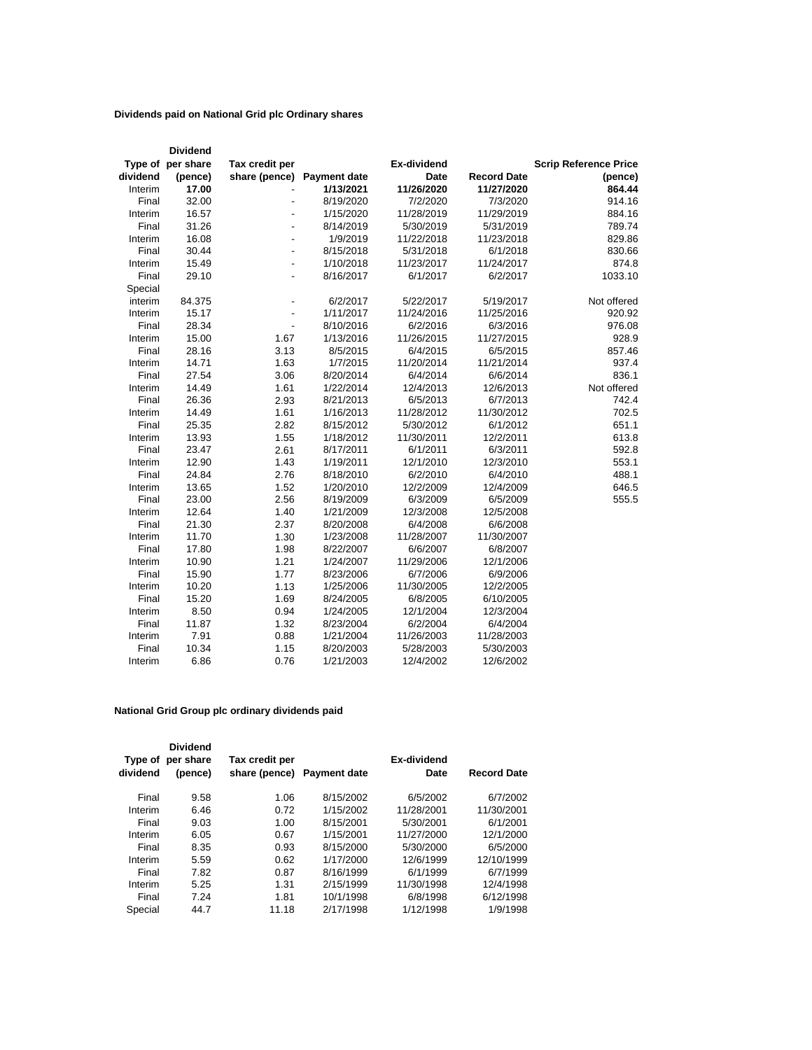## **Dividends paid on National Grid plc Ordinary shares**

|          | <b>Dividend</b>   |                          |                     |             |                    |                              |
|----------|-------------------|--------------------------|---------------------|-------------|--------------------|------------------------------|
|          | Type of per share | Tax credit per           |                     | Ex-dividend |                    | <b>Scrip Reference Price</b> |
| dividend | (pence)           | share (pence)            | <b>Payment date</b> | <b>Date</b> | <b>Record Date</b> | (pence)                      |
| Interim  | 17.00             |                          | 1/13/2021           | 11/26/2020  | 11/27/2020         | 864.44                       |
| Final    | 32.00             |                          | 8/19/2020           | 7/2/2020    | 7/3/2020           | 914.16                       |
| Interim  | 16.57             | $\overline{a}$           | 1/15/2020           | 11/28/2019  | 11/29/2019         | 884.16                       |
| Final    | 31.26             |                          | 8/14/2019           | 5/30/2019   | 5/31/2019          | 789.74                       |
| Interim  | 16.08             | $\overline{a}$           | 1/9/2019            | 11/22/2018  | 11/23/2018         | 829.86                       |
| Final    | 30.44             | $\blacksquare$           | 8/15/2018           | 5/31/2018   | 6/1/2018           | 830.66                       |
| Interim  | 15.49             | L.                       | 1/10/2018           | 11/23/2017  | 11/24/2017         | 874.8                        |
| Final    | 29.10             |                          | 8/16/2017           | 6/1/2017    | 6/2/2017           | 1033.10                      |
| Special  |                   |                          |                     |             |                    |                              |
| interim  | 84.375            |                          | 6/2/2017            | 5/22/2017   | 5/19/2017          | Not offered                  |
| Interim  | 15.17             | $\overline{\phantom{a}}$ | 1/11/2017           | 11/24/2016  | 11/25/2016         | 920.92                       |
| Final    | 28.34             |                          | 8/10/2016           | 6/2/2016    | 6/3/2016           | 976.08                       |
| Interim  | 15.00             | 1.67                     | 1/13/2016           | 11/26/2015  | 11/27/2015         | 928.9                        |
| Final    | 28.16             | 3.13                     | 8/5/2015            | 6/4/2015    | 6/5/2015           | 857.46                       |
| Interim  | 14.71             | 1.63                     | 1/7/2015            | 11/20/2014  | 11/21/2014         | 937.4                        |
| Final    | 27.54             | 3.06                     | 8/20/2014           | 6/4/2014    | 6/6/2014           | 836.1                        |
| Interim  | 14.49             | 1.61                     | 1/22/2014           | 12/4/2013   | 12/6/2013          | Not offered                  |
| Final    | 26.36             | 2.93                     | 8/21/2013           | 6/5/2013    | 6/7/2013           | 742.4                        |
| Interim  | 14.49             | 1.61                     | 1/16/2013           | 11/28/2012  | 11/30/2012         | 702.5                        |
| Final    | 25.35             | 2.82                     | 8/15/2012           | 5/30/2012   | 6/1/2012           | 651.1                        |
| Interim  | 13.93             | 1.55                     | 1/18/2012           | 11/30/2011  | 12/2/2011          | 613.8                        |
| Final    | 23.47             | 2.61                     | 8/17/2011           | 6/1/2011    | 6/3/2011           | 592.8                        |
| Interim  | 12.90             | 1.43                     | 1/19/2011           | 12/1/2010   | 12/3/2010          | 553.1                        |
| Final    | 24.84             | 2.76                     | 8/18/2010           | 6/2/2010    | 6/4/2010           | 488.1                        |
| Interim  | 13.65             | 1.52                     | 1/20/2010           | 12/2/2009   | 12/4/2009          | 646.5                        |
| Final    | 23.00             | 2.56                     | 8/19/2009           | 6/3/2009    | 6/5/2009           | 555.5                        |
| Interim  | 12.64             | 1.40                     | 1/21/2009           | 12/3/2008   | 12/5/2008          |                              |
| Final    | 21.30             | 2.37                     | 8/20/2008           | 6/4/2008    | 6/6/2008           |                              |
| Interim  | 11.70             | 1.30                     | 1/23/2008           | 11/28/2007  | 11/30/2007         |                              |
| Final    | 17.80             | 1.98                     | 8/22/2007           | 6/6/2007    | 6/8/2007           |                              |
| Interim  | 10.90             | 1.21                     | 1/24/2007           | 11/29/2006  | 12/1/2006          |                              |
| Final    | 15.90             | 1.77                     | 8/23/2006           | 6/7/2006    | 6/9/2006           |                              |
| Interim  | 10.20             | 1.13                     | 1/25/2006           | 11/30/2005  | 12/2/2005          |                              |
| Final    | 15.20             | 1.69                     | 8/24/2005           | 6/8/2005    | 6/10/2005          |                              |
| Interim  | 8.50              | 0.94                     | 1/24/2005           | 12/1/2004   | 12/3/2004          |                              |
| Final    | 11.87             | 1.32                     | 8/23/2004           | 6/2/2004    | 6/4/2004           |                              |
| Interim  | 7.91              | 0.88                     | 1/21/2004           | 11/26/2003  | 11/28/2003         |                              |
| Final    | 10.34             | 1.15                     | 8/20/2003           | 5/28/2003   | 5/30/2003          |                              |
| Interim  | 6.86              | 0.76                     | 1/21/2003           | 12/4/2002   | 12/6/2002          |                              |

## **National Grid Group plc ordinary dividends paid**

| Type of<br>dividend | <b>Dividend</b><br>per share<br>(pence) | Tax credit per<br>share (pence) | <b>Payment date</b> | Ex-dividend<br>Date | <b>Record Date</b> |
|---------------------|-----------------------------------------|---------------------------------|---------------------|---------------------|--------------------|
| Final               | 9.58                                    | 1.06                            | 8/15/2002           | 6/5/2002            | 6/7/2002           |
| Interim             | 6.46                                    | 0.72                            | 1/15/2002           | 11/28/2001          | 11/30/2001         |
| Final               | 9.03                                    | 1.00                            | 8/15/2001           | 5/30/2001           | 6/1/2001           |
| Interim             | 6.05                                    | 0.67                            | 1/15/2001           | 11/27/2000          | 12/1/2000          |
| Final               | 8.35                                    | 0.93                            | 8/15/2000           | 5/30/2000           | 6/5/2000           |
| Interim             | 5.59                                    | 0.62                            | 1/17/2000           | 12/6/1999           | 12/10/1999         |
| Final               | 7.82                                    | 0.87                            | 8/16/1999           | 6/1/1999            | 6/7/1999           |
| Interim             | 5.25                                    | 1.31                            | 2/15/1999           | 11/30/1998          | 12/4/1998          |
| Final               | 7.24                                    | 1.81                            | 10/1/1998           | 6/8/1998            | 6/12/1998          |
| Special             | 44.7                                    | 11.18                           | 2/17/1998           | 1/12/1998           | 1/9/1998           |